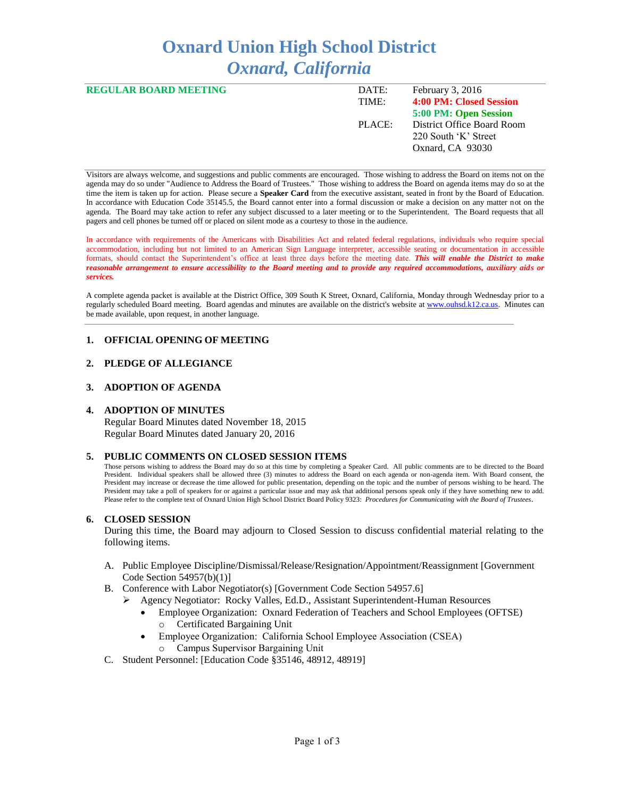# **Oxnard Union High School District** *Oxnard, California*

| <b>REGULAR BOARD MEETING</b> | DATE:  | February 3, 2016           |
|------------------------------|--------|----------------------------|
|                              | TIME:  | 4:00 PM: Closed Session    |
|                              |        | 5:00 PM: Open Session      |
|                              | PLACE: | District Office Board Room |
|                              |        | 220 South 'K' Street       |
|                              |        | Oxnard, CA 93030           |
|                              |        |                            |

Visitors are always welcome, and suggestions and public comments are encouraged. Those wishing to address the Board on items not on the agenda may do so under "Audience to Address the Board of Trustees." Those wishing to address the Board on agenda items may do so at the time the item is taken up for action. Please secure a **Speaker Card** from the executive assistant, seated in front by the Board of Education. In accordance with Education Code 35145.5, the Board cannot enter into a formal discussion or make a decision on any matter not on the agenda. The Board may take action to refer any subject discussed to a later meeting or to the Superintendent. The Board requests that all pagers and cell phones be turned off or placed on silent mode as a courtesy to those in the audience.

In accordance with requirements of the Americans with Disabilities Act and related federal regulations, individuals who require special accommodation, including but not limited to an American Sign Language interpreter, accessible seating or documentation in accessible formats, should contact the Superintendent's office at least three days before the meeting date. *This will enable the District to make reasonable arrangement to ensure accessibility to the Board meeting and to provide any required accommodations, auxiliary aids or services.* 

A complete agenda packet is available at the District Office, 309 South K Street, Oxnard, California, Monday through Wednesday prior to a regularly scheduled Board meeting. Board agendas and minutes are available on the district's website a[t www.ouhsd.k12.ca.us.](http://www.ouhsd.k12.ca.us/)Minutes can be made available, upon request, in another language.

# **1. OFFICIAL OPENING OF MEETING**

# **2. PLEDGE OF ALLEGIANCE**

#### **3. ADOPTION OF AGENDA**

#### **4. ADOPTION OF MINUTES**

Regular Board Minutes dated November 18, 2015 Regular Board Minutes dated January 20, 2016

#### **5. PUBLIC COMMENTS ON CLOSED SESSION ITEMS**

Those persons wishing to address the Board may do so at this time by completing a Speaker Card. All public comments are to be directed to the Board President. Individual speakers shall be allowed three (3) minutes to address the Board on each agenda or non-agenda item. With Board consent, the President may increase or decrease the time allowed for public presentation, depending on the topic and the number of persons wishing to be heard. The President may take a poll of speakers for or against a particular issue and may ask that additional persons speak only if they have something new to add. Please refer to the complete text of Oxnard Union High School District Board Policy 9323: *Procedures for Communicating with the Board of Trustees*.

#### **6. CLOSED SESSION**

During this time, the Board may adjourn to Closed Session to discuss confidential material relating to the following items.

- A. Public Employee Discipline/Dismissal/Release/Resignation/Appointment/Reassignment [Government Code Section 54957(b)(1)]
- B. Conference with Labor Negotiator(s) [Government Code Section 54957.6]
	- Agency Negotiator: Rocky Valles, Ed.D., Assistant Superintendent-Human Resources
		- Employee Organization: Oxnard Federation of Teachers and School Employees (OFTSE) o Certificated Bargaining Unit
		- Employee Organization: California School Employee Association (CSEA) Campus Supervisor Bargaining Unit
- C. Student Personnel: [Education Code §35146, 48912, 48919]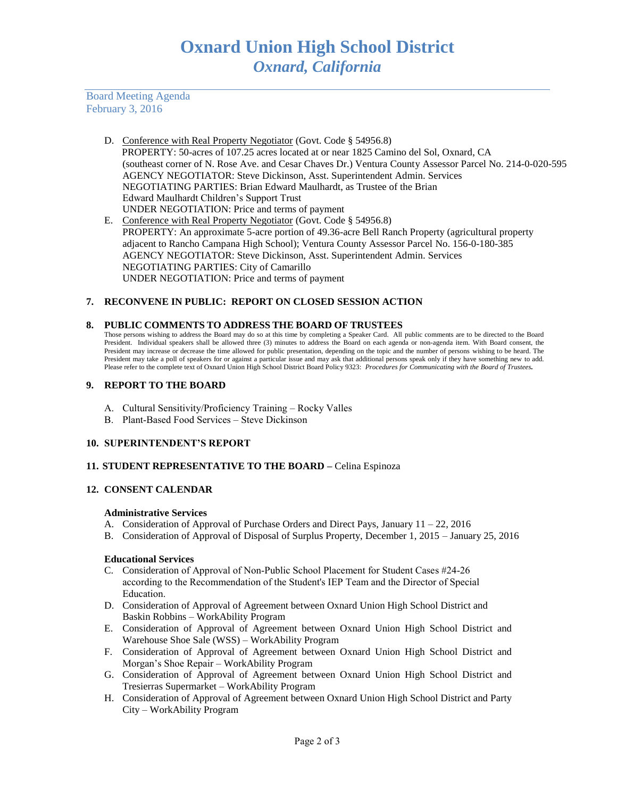Board Meeting Agenda February 3, 2016

- D. Conference with Real Property Negotiator (Govt. Code § 54956.8) PROPERTY: 50-acres of 107.25 acres located at or near 1825 Camino del Sol, Oxnard, CA (southeast corner of N. Rose Ave. and Cesar Chaves Dr.) Ventura County Assessor Parcel No. 214-0-020-595 AGENCY NEGOTIATOR: Steve Dickinson, Asst. Superintendent Admin. Services NEGOTIATING PARTIES: Brian Edward Maulhardt, as Trustee of the Brian Edward Maulhardt Children's Support Trust UNDER NEGOTIATION: Price and terms of payment
- E. Conference with Real Property Negotiator (Govt. Code § 54956.8) PROPERTY: An approximate 5-acre portion of 49.36-acre Bell Ranch Property (agricultural property adjacent to Rancho Campana High School); Ventura County Assessor Parcel No. 156-0-180-385 AGENCY NEGOTIATOR: Steve Dickinson, Asst. Superintendent Admin. Services NEGOTIATING PARTIES: City of Camarillo UNDER NEGOTIATION: Price and terms of payment

# **7. RECONVENE IN PUBLIC: REPORT ON CLOSED SESSION ACTION**

#### **8. PUBLIC COMMENTS TO ADDRESS THE BOARD OF TRUSTEES**

Those persons wishing to address the Board may do so at this time by completing a Speaker Card. All public comments are to be directed to the Board President. Individual speakers shall be allowed three (3) minutes to address the Board on each agenda or non-agenda item. With Board consent, the President may increase or decrease the time allowed for public presentation, depending on the topic and the number of persons wishing to be heard. The President may take a poll of speakers for or against a particular issue and may ask that additional persons speak only if they have something new to add. Please refer to the complete text of Oxnard Union High School District Board Policy 9323: *Procedures for Communicating with the Board of Trustees.*

#### **9. REPORT TO THE BOARD**

- A. Cultural Sensitivity/Proficiency Training Rocky Valles
- B. Plant-Based Food Services Steve Dickinson

# **10. SUPERINTENDENT'S REPORT**

# **11. STUDENT REPRESENTATIVE TO THE BOARD –** Celina Espinoza

# **12. CONSENT CALENDAR**

#### **Administrative Services**

- A. Consideration of Approval of Purchase Orders and Direct Pays, January 11 22, 2016
- B. Consideration of Approval of Disposal of Surplus Property, December 1, 2015 January 25, 2016

# **Educational Services**

- C. Consideration of Approval of Non-Public School Placement for Student Cases #24-26 according to the Recommendation of the Student's IEP Team and the Director of Special Education.
- D. Consideration of Approval of Agreement between Oxnard Union High School District and Baskin Robbins – WorkAbility Program
- E. Consideration of Approval of Agreement between Oxnard Union High School District and Warehouse Shoe Sale (WSS) – WorkAbility Program
- F. Consideration of Approval of Agreement between Oxnard Union High School District and Morgan's Shoe Repair – WorkAbility Program
- G. Consideration of Approval of Agreement between Oxnard Union High School District and Tresierras Supermarket – WorkAbility Program
- H. Consideration of Approval of Agreement between Oxnard Union High School District and Party City – WorkAbility Program